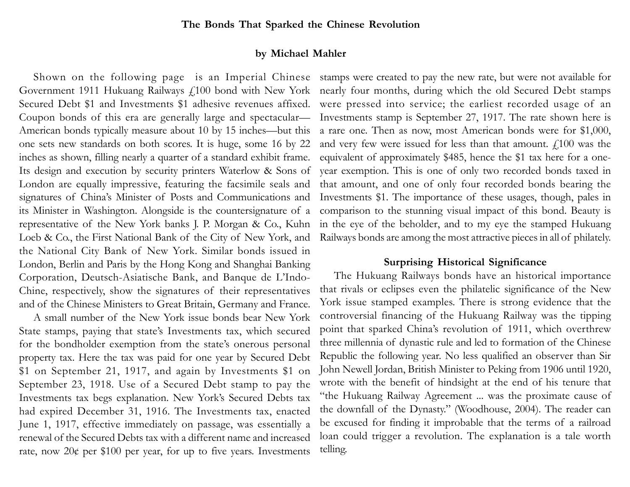### **by Michael Mahler**

American bonds typically measure about 10 by 15 inches—but this a rare one. Then as now, most American bonds were for \$1,000, one sets new standards on both scores. It is huge, some 16 by 22 inches as shown, filling nearly a quarter of a standard exhibit frame. Its design and execution by security printers Waterlow & Sons of London are equally impressive, featuring the facsimile seals and signatures of China's Minister of Posts and Communications and its Minister in Washington. Alongside is the countersignature of <sup>a</sup> representative of the New York banks J. P. Morgan & Co., Kuhn Loeb & Co., the First National Bank of the City of New York, and the National City Bank of New York. Similar bonds issued in London, Berlin and Paris by the Hong Kong and Shanghai Banking Corporation, Deutsch-Asiatische Bank, and Banque de L'Indo-Chine, respectively, show the signatures of their representatives and of the Chinese Ministers to Great Britain, Germany and France.

A small number of the New York issue bonds bear New York State stamps, paying that state's Investments tax, which secured for the bondholder exemption from the state's onerous personal property tax. Here the tax was paid for one year by Secured Debt \$1 on September 21, 1917, and again by Investments \$1 on September 23, 1918. Use of a Secured Debt stamp to pay the Investments tax begs explanation. New York's Secured Debts tax had expired December 31, 1916. The Investments tax, enacted June 1, 1917, effective immediately on passage, was essentially a renewal of the Secured Debts tax with a different name and increased rate, now  $20¢$  per \$100 per year, for up to five years. Investments

Shown on the following page is an Imperial Chinese stamps were created to pay the new rate, but were not available for Government 1911 Hukuang Railways £100 bond with New York nearly four months, during which the old Secured Debt stamps Secured Debt \$1 and Investments \$1 adhesive revenues affixed. were pressed into service; the earliest recorded usage of an Coupon bonds of this era are generally large and spectacular— Investments stamp is September 27, 1917. The rate shown here is and very few were issued for less than that amount.  $f<sub>i</sub>100$  was the equivalent of approximately \$485, hence the \$1 tax here for a oneyear exemption. This is one of only two recorded bonds taxed in that amount, and one of only four recorded bonds bearing the Investments \$1. The importance of these usages, though, pales in comparison to the stunning visual impact of this bond. Beauty is in the eye of the beholder, and to my eye the stamped Hukuang Railways bonds are among the most attractive pieces in all of philately.

## **Surprising Historical Significance**

The Hukuang Railways bonds have an historical importance that rivals or eclipses even the philatelic significance of the New York issue stamped examples. There is strong evidence that the controversial financing of the Hukuang Railway was the tipping point that sparked China's revolution of 1911, which overthrew three millennia of dynastic rule and led to formation of the Chinese Republic the following year. No less qualified an observer than Sir John Newell Jordan, British Minister to Peking from 1906 until 1920, wrote with the benefit of hindsight at the end of his tenure that "the Hukuang Railway Agreement ... was the proximate cause of the downfall of the Dynasty." (Woodhouse, 2004). The reader can be excused for finding it improbable that the terms of a railroad loan could trigger a revolution. The explanation is a tale worth telling.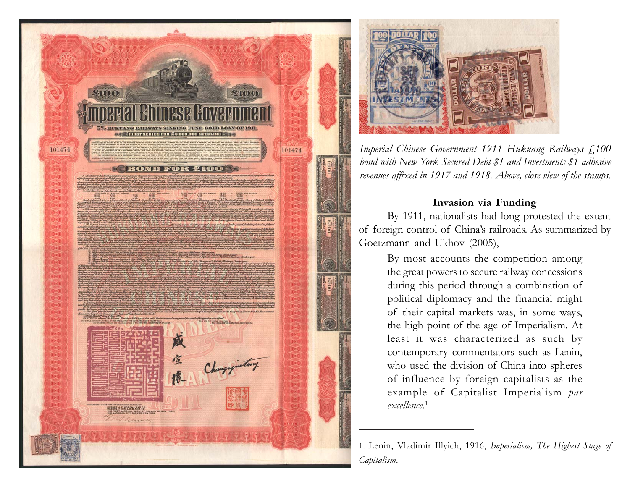



*Imperial Chinese Government 1911 Hukuang Railways £100 bond with New York Secured Debt \$1 and Investments \$1 adhesive revenues affixed in 1917 and 1918. Above, close view of the stamps.*

# **Invasion via Funding**

By 1911, nationalists had long protested the extent of foreign control of China's railroads. As summarized by Goetzmann and Ukhov (2005),

> By most accounts the competition among the great powers to secure railway concessions during this period through a combination of political diplomacy and the financial might of their capital markets was, in some ways, the high point of the age of Imperialism. At least it was characterized as such by contemporary commentators such as Lenin, who used the division of China into spheres of influence by foreign capitalists as the example of Capitalist Imperialism *par excellence*. 1

<sup>1.</sup> Lenin, Vladimir Illyich, 1916, *Imperialism, The Highest Stage of Capitalism*.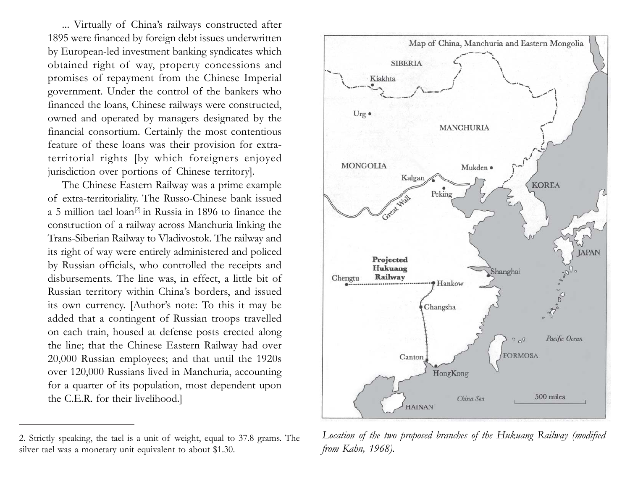... Virtually of China's railways constructed after 1895 were financed by foreign debt issues underwritten by European-led investment banking syndicates which obtained right of way, property concessions and promises of repayment from the Chinese Imperial government. Under the control of the bankers who financed the loans, Chinese railways were constructed, owned and operated by managers designated by the financial consortium. Certainly the most contentious feature of these loans was their provision for extraterritorial rights [by which foreigners enjoyed jurisdiction over portions of Chinese territory].

The Chinese Eastern Railway was a prime example of extra-territoriality. The Russo-Chinese bank issued a 5 million tael  $\alpha$  loan<sup>[2]</sup> in Russia in 1896 to finance the construction of a railway across Manchuria linking the Trans-Siberian Railway to Vladivostok. The railway and its right of way were entirely administered and policed by Russian officials, who controlled the receipts and disbursements. The line was, in effect, a little bit of Russian territory within China's borders, and issued its own currency. [Author's note: To this it may be added that a contingent of Russian troops travelled on each train, housed at defense posts erected along the line; that the Chinese Eastern Railway had over 20,000 Russian employees; and that until the 1920s over 120,000 Russians lived in Manchuria, accounting for a quarter of its population, most dependent upon the C.E.R. for their livelihood.]

<sup>2.</sup> Strictly speaking, the tael is a unit of weight, equal to 37.8 grams. The silver tael was a monetary unit equivalent to about \$1.30.



*Location of the two proposed branches of the Hukuang Railway (modified from Kahn, 1968).*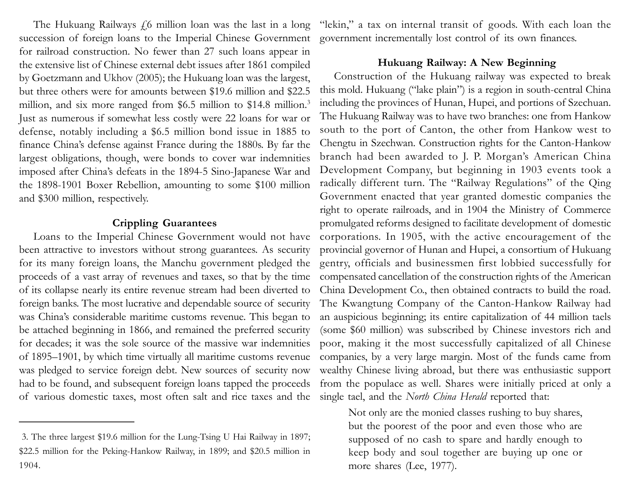The Hukuang Railways  $\dot{\varphi}$  million loan was the last in a long succession of foreign loans to the Imperial Chinese Government for railroad construction. No fewer than 27 such loans appear in the extensive list of Chinese external debt issues after 1861 compiled by Goetzmann and Ukhov (2005); the Hukuang loan was the largest, but three others were for amounts between \$19.6 million and \$22.5 million, and six more ranged from \$6.5 million to \$14.8 million.<sup>3</sup> Just as numerous if somewhat less costly were 22 loans for war or defense, notably including a \$6.5 million bond issue in 1885 to finance China's defense against France during the 1880s. By far the largest obligations, though, were bonds to cover war indemnities imposed after China's defeats in the 1894-5 Sino-Japanese War and the 1898-1901 Boxer Rebellion, amounting to some \$100 million and \$300 million, respectively.

#### **Crippling Guarantees**

Loans to the Imperial Chinese Government would not have been attractive to investors without strong guarantees. As security for its many foreign loans, the Manchu government pledged the proceeds of a vast array of revenues and taxes, so that by the time of its collapse nearly its entire revenue stream had been diverted to foreign banks. The most lucrative and dependable source of security was China's considerable maritime customs revenue. This began to be attached beginning in 1866, and remained the preferred security for decades; it was the sole source of the massive war indemnities of 1895–1901, by which time virtually all maritime customs revenue was pledged to service foreign debt. New sources of security now had to be found, and subsequent foreign loans tapped the proceeds of various domestic taxes, most often salt and rice taxes and the "lekin," a tax on internal transit of goods. With each loan the government incrementally lost control of its own finances.

#### **Hukuang Railway: A New Beginning**

Construction of the Hukuang railway was expected to break this mold. Hukuang ("lake plain") is a region in south-central China including the provinces of Hunan, Hupei, and portions of Szechuan. The Hukuang Railway was to have two branches: one from Hankow south to the port of Canton, the other from Hankow west to Chengtu in Szechwan. Construction rights for the Canton-Hankow branch had been awarded to J. P. Morgan's American China Development Company, but beginning in 1903 events took a radically different turn. The "Railway Regulations" of the Qing Government enacted that year granted domestic companies the right to operate railroads, and in 1904 the Ministry of Commerce promulgated reforms designed to facilitate development of domestic corporations. In 1905, with the active encouragement of the provincial governor of Hunan and Hupei, a consortium of Hukuang gentry, officials and businessmen first lobbied successfully for compensated cancellation of the construction rights of the American China Development Co., then obtained contracts to build the road. The Kwangtung Company of the Canton-Hankow Railway had an auspicious beginning; its entire capitalization of 44 million taels (some \$60 million) was subscribed by Chinese investors rich and poor, making it the most successfully capitalized of all Chinese companies, by a very large margin. Most of the funds came from wealthy Chinese living abroad, but there was enthusiastic support from the populace as well. Shares were initially priced at only a single tael, and the *North China Herald* reported that:

Not only are the monied classes rushing to buy shares, but the poorest of the poor and even those who are supposed of no cash to spare and hardly enough to keep body and soul together are buying up one or more shares (Lee, 1977).

<sup>3.</sup> The three largest \$19.6 million for the Lung-Tsing U Hai Railway in 1897; \$22.5 million for the Peking-Hankow Railway, in 1899; and \$20.5 million in 1904.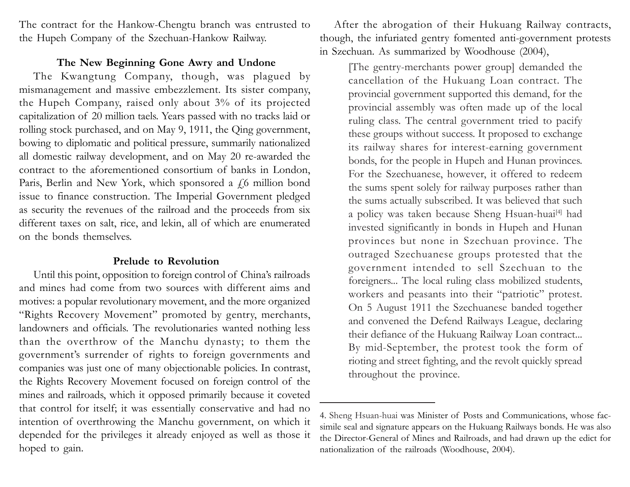The contract for the Hankow-Chengtu branch was entrusted to the Hupeh Company of the Szechuan-Hankow Railway.

## **The New Beginning Gone Awry and Undone**

The Kwangtung Company, though, was plagued by mismanagement and massive embezzlement. Its sister company, the Hupeh Company, raised only about 3% of its projected capitalization of 20 million taels. Years passed with no tracks laid or rolling stock purchased, and on May 9, 1911, the Qing government, bowing to diplomatic and political pressure, summarily nationalized all domestic railway development, and on May 20 re-awarded the contract to the aforementioned consortium of banks in London, Paris, Berlin and New York, which sponsored a  $f_0$  million bond issue to finance construction. The Imperial Government pledged as security the revenues of the railroad and the proceeds from six different taxes on salt, rice, and lekin, all of which are enumerated on the bonds themselves.

## **Prelude to Revolution**

Until this point, opposition to foreign control of China's railroads and mines had come from two sources with different aims and motives: a popular revolutionary movement, and the more organized "Rights Recovery Movement" promoted by gentry, merchants, landowners and officials. The revolutionaries wanted nothing less than the overthrow of the Manchu dynasty; to them the government's surrender of rights to foreign governments and companies was just one of many objectionable policies. In contrast, the Rights Recovery Movement focused on foreign control of the mines and railroads, which it opposed primarily because it coveted that control for itself; it was essentially conservative and had no intention of overthrowing the Manchu government, on which it depended for the privileges it already enjoyed as well as those it hoped to gain.

After the abrogation of their Hukuang Railway contracts, though, the infuriated gentry fomented anti-government protests in Szechuan. As summarized by Woodhouse (2004),

[The gentry-merchants power group] demanded the cancellation of the Hukuang Loan contract. The provincial government supported this demand, for the provincial assembly was often made up of the local ruling class. The central government tried to pacify these groups without success. It proposed to exchange its railway shares for interest-earning government bonds, for the people in Hupeh and Hunan provinces. For the Szechuanese, however, it offered to redeem the sums spent solely for railway purposes rather than the sums actually subscribed. It was believed that such a policy was taken because Sheng Hsuan-huai<sup>[4]</sup> had invested significantly in bonds in Hupeh and Hunan provinces but none in Szechuan province. The outraged Szechuanese groups protested that the government intended to sell Szechuan to the foreigners... The local ruling class mobilized students, workers and peasants into their "patriotic" protest. On 5 August 1911 the Szechuanese banded together and convened the Defend Railways League, declaring their defiance of the Hukuang Railway Loan contract... By mid-September, the protest took the form of rioting and street fighting, and the revolt quickly spread throughout the province.

<sup>4.</sup> Sheng Hsuan-huai was Minister of Posts and Communications, whose facsimile seal and signature appears on the Hukuang Railways bonds. He was also the Director-General of Mines and Railroads, and had drawn up the edict for nationalization of the railroads (Woodhouse, 2004).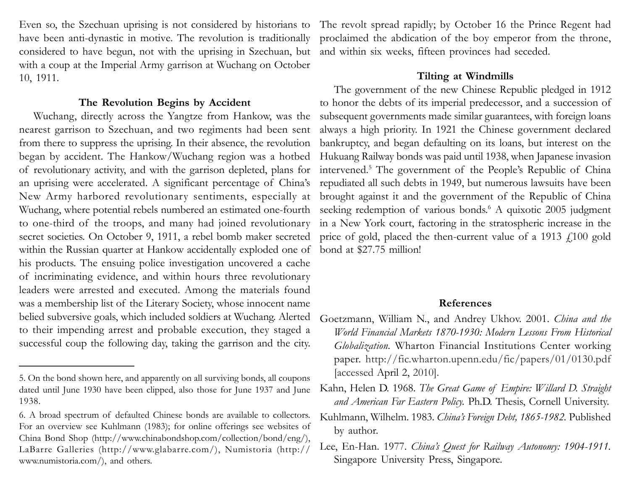Even so, the Szechuan uprising is not considered by historians to have been anti-dynastic in motive. The revolution is traditionally considered to have begun, not with the uprising in Szechuan, but with a coup at the Imperial Army garrison at Wuchang on October 10, 1911.

#### **The Revolution Begins by Accident**

nearest garrison to Szechuan, and two regiments had been sent always a high priority. In 1921 the Chinese government declared from there to suppress the uprising. In their absence, the revolution bankruptcy, and began defaulting on its loans, but interest on the began by accident. The Hankow/Wuchang region was a hotbed Hukuang Railway bonds was paid until 1938, when Japanese invasion of revolutionary activity, and with the garrison depleted, plans for intervened.5 The government of the People's Republic of China an uprising were accelerated. A significant percentage of China's repudiated all such debts in 1949, but numerous lawsuits have been New Army harbored revolutionary sentiments, especially at brought against it and the government of the Republic of China Wuchang, where potential rebels numbered an estimated one-fourth seeking redemption of various bonds.<sup>6</sup> A quixotic 2005 judgment to one-third of the troops, and many had joined revolutionary in a New York court, factoring in the stratospheric increase in the secret societies. On October 9, 1911, a rebel bomb maker secreted price of gold, placed the then-current value of a 1913 £100 gold within the Russian quarter at Hankow accidentally exploded one of bond at \$27.75 million! his products. The ensuing police investigation uncovered a cache of incriminating evidence, and within hours three revolutionary leaders were arrested and executed. Among the materials found was a membership list of the Literary Society, whose innocent name belied subversive goals, which included soldiers at Wuchang. Alerted to their impending arrest and probable execution, they staged a successful coup the following day, taking the garrison and the city.

The revolt spread rapidly; by October 16 the Prince Regent had proclaimed the abdication of the boy emperor from the throne, and within six weeks, fifteen provinces had seceded.

#### **Tilting at Windmills**

Wuchang, directly across the Yangtze from Hankow, was the subsequent governments made similar guarantees, with foreign loans The government of the new Chinese Republic pledged in 1912 to honor the debts of its imperial predecessor, and a succession of

### **References**

- Goetzmann, William N., and Andrey Ukhov. 2001. *China and the World Financial Markets 1870-1930: Modern Lessons From Historical Globalization.* Wharton Financial Institutions Center working paper. http://fic.wharton.upenn.edu/fic/papers/01/0130.pdf [accessed April 2, 2010].
- Kahn, Helen D. 1968. *The Great Game of Empire: Willard D. Straight and American Far Eastern Policy.* Ph.D. Thesis, Cornell University.
- Kuhlmann, Wilhelm. 1983. *China's Foreign Debt, 1865-1982.* Published by author.
- Lee, En-Han. 1977. *China's Quest for Railway Autonomy: 1904-1911.* Singapore University Press, Singapore.

<sup>5.</sup> On the bond shown here, and apparently on all surviving bonds, all coupons dated until June 1930 have been clipped, also those for June 1937 and June 1938.

<sup>6.</sup> A broad spectrum of defaulted Chinese bonds are available to collectors. For an overview see Kuhlmann (1983); for online offerings see websites of China Bond Shop (http://www.chinabondshop.com/collection/bond/eng/), LaBarre Galleries (http://www.glabarre.com/), Numistoria (http:// www.numistoria.com/), and others.